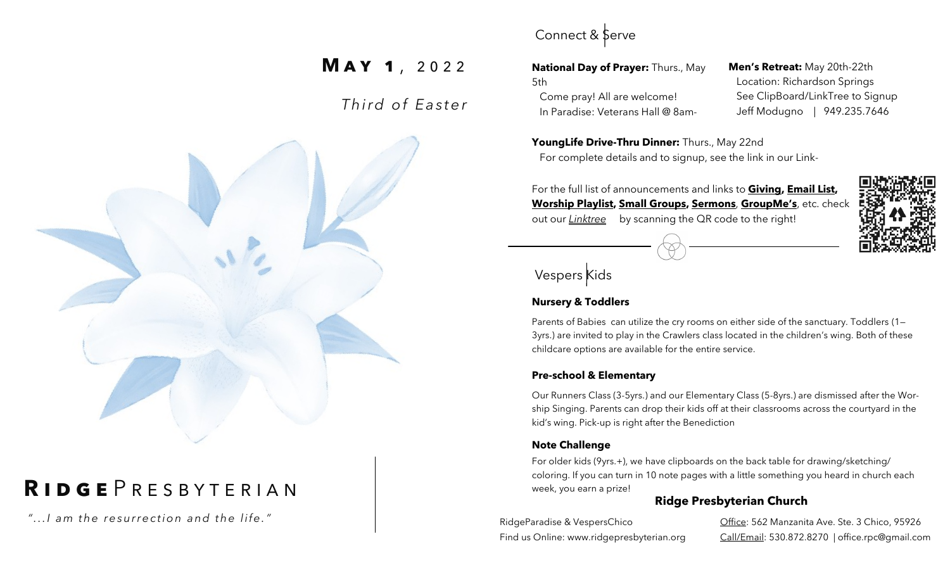

# **R i d g e** P r e s b y t e r i a n

*" . . . I a m t h e r e s u rr e c t i on a n d t h e l ife ."*

# Connect & Serve

**National Day of Prayer:** Thurs., May 5th

 Come pray! All are welcome! In Paradise: Veterans Hall @ 8am**Men's Retreat:** May 20th-22th Location: Richardson Springs See ClipBoard/LinkTree to Signup Jeff Modugno | 949.235.7646

**YoungLife Drive-Thru Dinner:** Thurs., May 22nd For complete details and to signup, see the link in our Link-

For the full list of announcements and links to **Giving, Email List, Worship Playlist, Small Groups, Sermons**, **GroupMe's**, etc. check out our *Linktree* by scanning the QR code to the right!



# Vespers Kids

### **Nursery & Toddlers**

Parents of Babies can utilize the cry rooms on either side of the sanctuary. Toddlers (1— 3yrs.) are invited to play in the Crawlers class located in the children's wing. Both of these childcare options are available for the entire service.

### **Pre-school & Elementary**

Our Runners Class (3-5yrs.) and our Elementary Class (5-8yrs.) are dismissed after the Worship Singing. Parents can drop their kids off at their classrooms across the courtyard in the kid's wing. Pick-up is right after the Benediction

### **Note Challenge**

For older kids (9yrs.+), we have clipboards on the back table for drawing/sketching/ coloring. If you can turn in 10 note pages with a little something you heard in church each week, you earn a prize!

### **Ridge Presbyterian Church**

RidgeParadise & VespersChico Find us Online: www.ridgepresbyterian.org

Office: 562 Manzanita Ave. Ste. 3 Chico, 95926 Call/Email: 530.872.8270 | office.rpc@gmail.com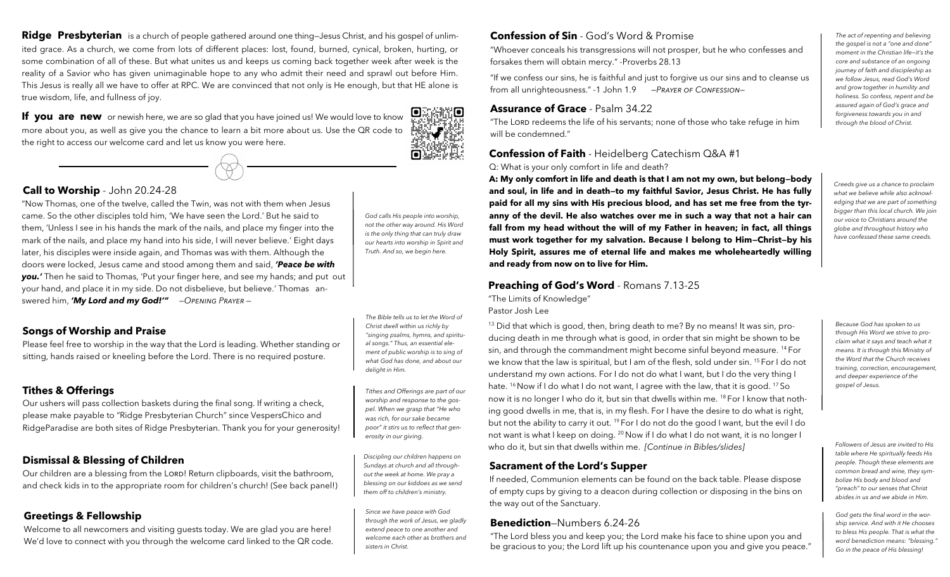**Ridge Presbyterian** is a church of people gathered around one thing—Jesus Christ, and his gospel of unlimited grace. As a church, we come from lots of different places: lost, found, burned, cynical, broken, hurting, or some combination of all of these. But what unites us and keeps us coming back together week after week is the reality of a Savior who has given unimaginable hope to any who admit their need and sprawl out before Him. This Jesus is really all we have to offer at RPC. We are convinced that not only is He enough, but that HE alone is true wisdom, life, and fullness of joy.

**If you are new** or newish here, we are so glad that you have joined us! We would love to know more about you, as well as give you the chance to learn a bit more about us. Use the QR code to the right to access our welcome card and let us know you were here. 高架部理

#### **Call to Worship** - John 20.24-28

"Now Thomas, one of the twelve, called the Twin, was not with them when Jesus came. So the other disciples told him, 'We have seen the Lord.' But he said to them, 'Unless I see in his hands the mark of the nails, and place my finger into the mark of the nails, and place my hand into his side, I will never believe.' Eight days later, his disciples were inside again, and Thomas was with them. Although the doors were locked, Jesus came and stood among them and said, *'Peace be with you.'* Then he said to Thomas, 'Put your finger here, and see my hands; and put out your hand, and place it in my side. Do not disbelieve, but believe.' Thomas answered him, *'My Lord and my God!'" —Opening Prayer —*

#### **Songs of Worship and Praise**

Please feel free to worship in the way that the Lord is leading. Whether standing or sitting, hands raised or kneeling before the Lord. There is no required posture.

#### **Tithes & Offerings**

Our ushers will pass collection baskets during the final song. If writing a check, please make payable to "Ridge Presbyterian Church" since VespersChico and RidgeParadise are both sites of Ridge Presbyterian. Thank you for your generosity!

#### **Dismissal & Blessing of Children**

Our children are a blessing from the LORD! Return clipboards, visit the bathroom, and check kids in to the appropriate room for children's church! (See back panel!)

#### **Greetings & Fellowship**

Welcome to all newcomers and visiting guests today. We are glad you are here! We'd love to connect with you through the welcome card linked to the QR code. *God calls His people into worship, not the other way around. His Word is the only thing that can truly draw our hearts into worship in Spirit and Truth. And so, we begin here.* 

:10

⋰

*The Bible tells us to let the Word of Christ dwell within us richly by "singing psalms, hymns, and spiritual songs." Thus, an essential element of public worship is to sing of what God has done, and about our delight in Him.* 

*Tithes and Offerings are part of our worship and response to the gospel. When we grasp that "He who was rich, for our sake became poor" it stirs us to reflect that generosity in our giving.*

*Discipling our children happens on Sundays at church and all throughout the week at home. We pray a blessing on our kiddoes as we send them off to children's ministry.* 

*Since we have peace with God through the work of Jesus, we gladly extend peace to one another and welcome each other as brothers and sisters in Christ.* 

#### **Confession of Sin** - God's Word & Promise

"Whoever conceals his transgressions will not prosper, but he who confesses and forsakes them will obtain mercy." -Proverbs 28.13

"If we confess our sins, he is faithful and just to forgive us our sins and to cleanse us from all unrighteousness." -1 John 1.9 *—Prayer of Confession—*

#### **Assurance of Grace** - Psalm 34.22

"The Lord redeems the life of his servants; none of those who take refuge in him will be condemned."

#### **Confession of Faith** - Heidelberg Catechism Q&A #1

#### Q: What is your only comfort in life and death?

**A: My only comfort in life and death is that I am not my own, but belong—body and soul, in life and in death—to my faithful Savior, Jesus Christ. He has fully paid for all my sins with His precious blood, and has set me free from the tyranny of the devil. He also watches over me in such a way that not a hair can fall from my head without the will of my Father in heaven; in fact, all things must work together for my salvation. Because I belong to Him—Christ—by his Holy Spirit, assures me of eternal life and makes me wholeheartedly willing and ready from now on to live for Him.** 

#### **Preaching of God's Word** - Romans 7.13-25

"The Limits of Knowledge"

Pastor Josh Lee

<sup>13</sup> Did that which is good, then, bring death to me? By no means! It was sin, producing death in me through what is good, in order that sin might be shown to be sin, and through the commandment might become sinful beyond measure. <sup>14</sup> For we know that the law is spiritual, but I am of the flesh, sold under sin. <sup>15</sup> For I do not understand my own actions. For I do not do what I want, but I do the very thing I hate. <sup>16</sup> Now if I do what I do not want, I agree with the law, that it is good. <sup>17</sup> So now it is no longer I who do it, but sin that dwells within me. <sup>18</sup> For I know that nothing good dwells in me, that is, in my flesh. For I have the desire to do what is right, but not the ability to carry it out. <sup>19</sup> For I do not do the good I want, but the evil I do not want is what I keep on doing. <sup>20</sup> Now if I do what I do not want, it is no longer I who do it, but sin that dwells within me. *[Continue in Bibles/slides]*

#### **Sacrament of the Lord's Supper**

If needed, Communion elements can be found on the back table. Please dispose of empty cups by giving to a deacon during collection or disposing in the bins on the way out of the Sanctuary.

#### *—Continue Liturgy on Back Panel—* **Benediction**—Numbers 6.24-26

"The Lord bless you and keep you; the Lord make his face to shine upon you and be gracious to you; the Lord lift up his countenance upon you and give you peace."

*The act of repenting and believing the gospel is not a "one and done" moment in the Christian life—it's the core and substance of an ongoing journey of faith and discipleship as we follow Jesus, read God's Word and grow together in humility and holiness. So confess, repent and be assured again of God's grace and forgiveness towards you in and through the blood of Christ.* 

*Creeds give us a chance to proclaim what we believe while also acknowledging that we are part of something bigger than this local church. We join our voice to Christians around the globe and throughout history who have confessed these same creeds.*

*Because God has spoken to us through His Word we strive to proclaim what it says and teach what it means. It is through this Ministry of the Word that the Church receives training, correction, encouragement, and deeper experience of the gospel of Jesus.*

*Followers of Jesus are invited to His table where He spiritually feeds His people. Though these elements are common bread and wine, they symbolize His body and blood and "preach" to our senses that Christ abides in us and we abide in Him.* 

*God gets the final word in the worship service. And with it He chooses to bless His people. That is what the word benediction means: "blessing." Go in the peace of His blessing!*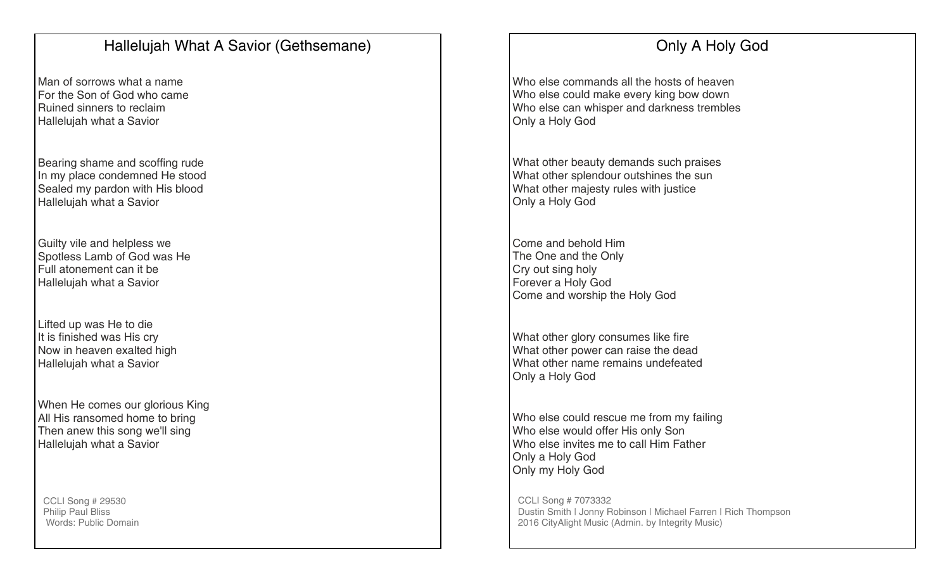### Hallelujah What A Savior (Gethsemane)

Man of sorrows what a name For the Son of God who came Ruined sinners to reclaim Hallelujah what a Savior

Bearing shame and scoffing rude In my place condemned He stood Sealed my pardon with His blood Hallelujah what a Savior

Guilty vile and helpless we Spotless Lamb of God was He Full atonement can it be Hallelujah what a Savior

Lifted up was He to die It is finished was His cry Now in heaven exalted high Hallelujah what a Savior

When He comes our glorious King All His ransomed home to bring Then anew this song we'll sing Hallelujah what a Savior

CCLI Song # 29530 Philip Paul Bliss Words: Public Domain

## Only A Holy God

Who else commands all the hosts of heaven Who else could make every king bow down Who else can whisper and darkness trembles Only a Holy God

What other beauty demands such praises What other splendour outshines the sun What other majesty rules with justice Only a Holy God

Come and behold Him The One and the Only Cry out sing holy Forever a Holy God Come and worship the Holy God

What other glory consumes like fire What other power can raise the dead What other name remains undefeated Only a Holy God

Who else could rescue me from my failing Who else would offer His only Son Who else invites me to call Him Father Only a Holy God Only my Holy God

CCLI Song # 7073332 Dustin Smith | Jonny Robinson | Michael Farren | Rich Thompson 2016 CityAlight Music (Admin. by Integrity Music)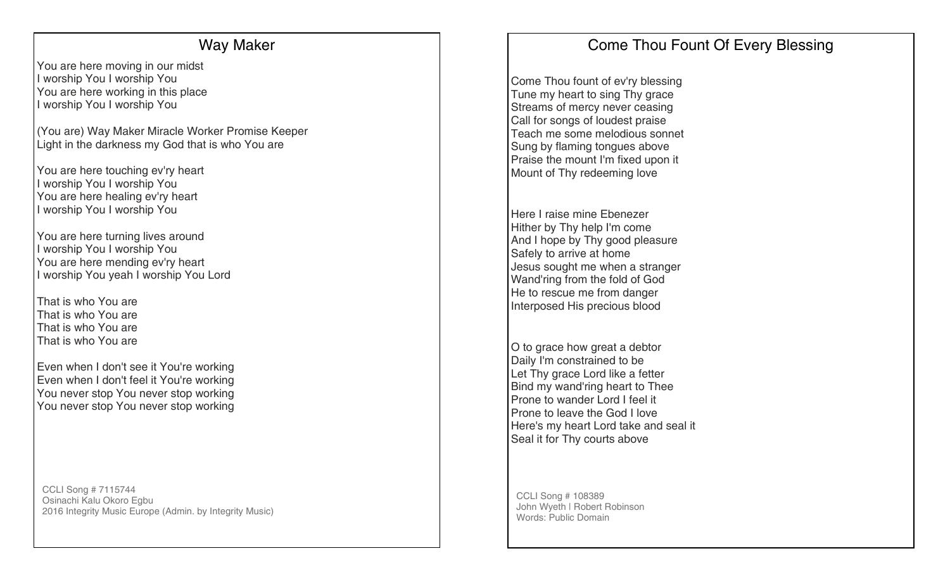### Way Maker

You are here moving in our midst I worship You I worship You You are here working in this place I worship You I worship You

(You are) Way Maker Miracle Worker Promise Keeper Light in the darkness my God that is who You are

You are here touching ev'ry heart I worship You I worship You You are here healing ev'ry heart I worship You I worship You

You are here turning lives around I worship You I worship You You are here mending ev'ry heart I worship You yeah I worship You Lord

That is who You are That is who You are That is who You are That is who You are

Even when I don't see it You're working Even when I don't feel it You're working You never stop You never stop working You never stop You never stop working

CCLI Song # 7115744 Osinachi Kalu Okoro Egbu 2016 Integrity Music Europe (Admin. by Integrity Music)

### Come Thou Fount Of Every Blessing

Come Thou fount of ev'ry blessing Tune my heart to sing Thy grace Streams of mercy never ceasing Call for songs of loudest praise Teach me some melodious sonnet Sung by flaming tongues above Praise the mount I'm fixed upon it Mount of Thy redeeming love

Here I raise mine Ebenezer Hither by Thy help I'm come And I hope by Thy good pleasure Safely to arrive at home Jesus sought me when a stranger Wand'ring from the fold of God He to rescue me from danger Interposed His precious blood

O to grace how great a debtor Daily I'm constrained to be Let Thy grace Lord like a fetter Bind my wand'ring heart to Thee Prone to wander Lord I feel it Prone to leave the God I love Here's my heart Lord take and seal it Seal it for Thy courts above

CCLI Song # 108389 John Wyeth | Robert Robinson Words: Public Domain